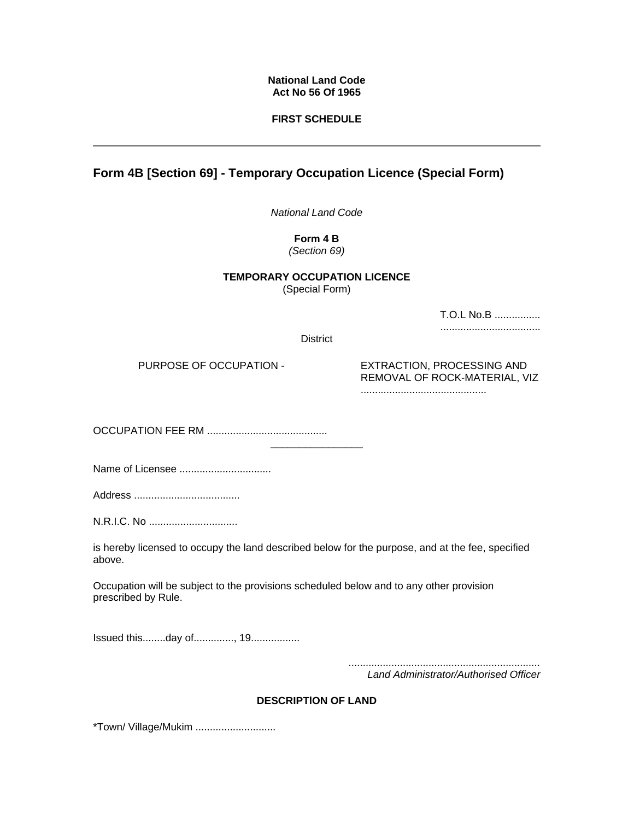### **National Land Code Act No 56 Of 1965**

## **FIRST SCHEDULE**

# **Form 4B [Section 69] - Temporary Occupation Licence (Special Form)**

*National Land Code* 

**Form 4 B** 

*(Section 69)*

#### **TEMPORARY OCCUPATION LICENCE**  (Special Form)

T.O.L No.B ................

...................................

District

\_\_\_\_\_\_\_\_\_\_\_\_\_\_\_\_

PURPOSE OF OCCUPATION - EXTRACTION, PROCESSING AND REMOVAL OF ROCK-MATERIAL, VIZ

............................................

OCCUPATION FEE RM ..........................................

Name of Licensee ................................

Address .....................................

N.R.I.C. No ...............................

is hereby licensed to occupy the land described below for the purpose, and at the fee, specified above.

Occupation will be subject to the provisions scheduled below and to any other provision prescribed by Rule.

Issued this........day of.............., 19.................

*...................................................................* 

*Land Administrator/Authorised Officer*

# **DESCRIPTlON OF LAND**

\*Town/ Village/Mukim ............................